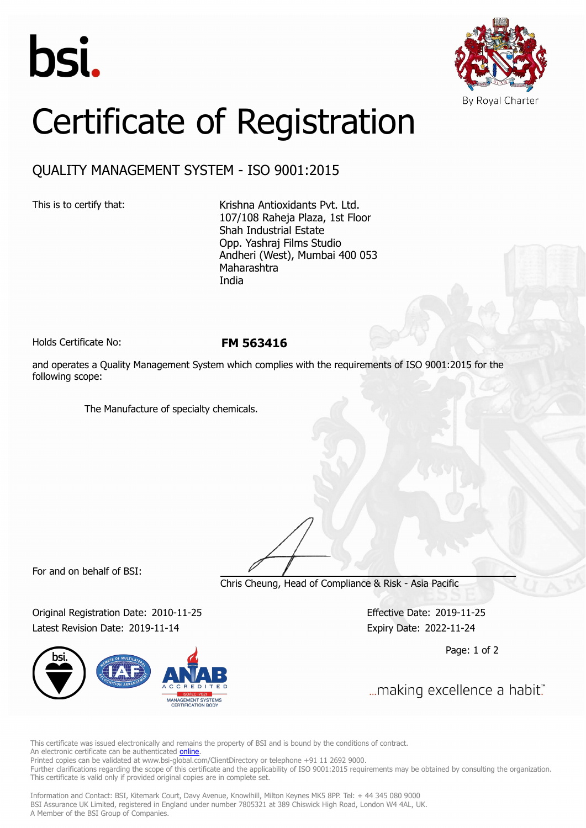



## Certificate of Registration

## QUALITY MANAGEMENT SYSTEM - ISO 9001:2015

This is to certify that: Krishna Antioxidants Pvt. Ltd. 107/108 Raheja Plaza, 1st Floor Shah Industrial Estate Opp. Yashraj Films Studio Andheri (West), Mumbai 400 053 Maharashtra India

Holds Certificate No: **FM 563416**

and operates a Quality Management System which complies with the requirements of ISO 9001:2015 for the following scope:

The Manufacture of specialty chemicals.

For and on behalf of BSI:

Chris Cheung, Head of Compliance & Risk - Asia Pacific

Original Registration Date: 2010-11-25 Effective Date: 2019-11-25 Latest Revision Date: 2019-11-14 Expiry Date: 2022-11-24



Page: 1 of 2

... making excellence a habit."

This certificate was issued electronically and remains the property of BSI and is bound by the conditions of contract. An electronic certificate can be authenticated **[online](https://pgplus.bsigroup.com/CertificateValidation/CertificateValidator.aspx?CertificateNumber=FM+563416&ReIssueDate=14%2f11%2f2019&Template=india_en)** 

Printed copies can be validated at www.bsi-global.com/ClientDirectory or telephone +91 11 2692 9000.

Further clarifications regarding the scope of this certificate and the applicability of ISO 9001:2015 requirements may be obtained by consulting the organization. This certificate is valid only if provided original copies are in complete set.

Information and Contact: BSI, Kitemark Court, Davy Avenue, Knowlhill, Milton Keynes MK5 8PP. Tel: + 44 345 080 9000 BSI Assurance UK Limited, registered in England under number 7805321 at 389 Chiswick High Road, London W4 4AL, UK. A Member of the BSI Group of Companies.